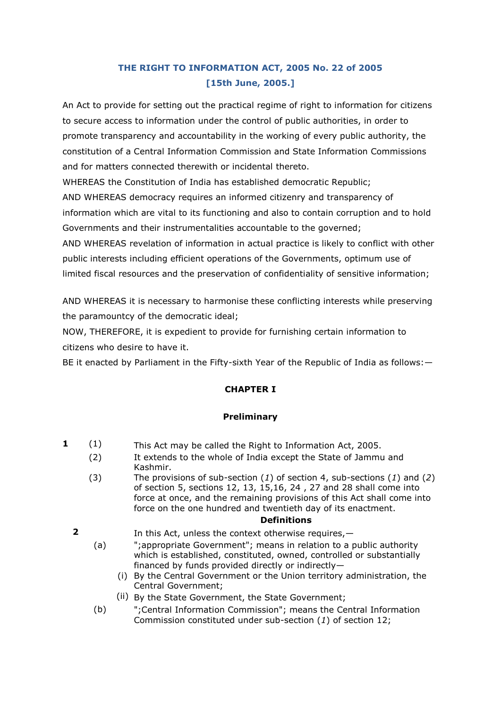# **THE RIGHT TO INFORMATION ACT, 2005 No. 22 of 2005 [15th June, 2005.]**

An Act to provide for setting out the practical regime of right to information for citizens to secure access to information under the control of public authorities, in order to promote transparency and accountability in the working of every public authority, the constitution of a Central Information Commission and State Information Commissions and for matters connected therewith or incidental thereto.

WHEREAS the Constitution of India has established democratic Republic;

AND WHEREAS democracy requires an informed citizenry and transparency of information which are vital to its functioning and also to contain corruption and to hold Governments and their instrumentalities accountable to the governed;

AND WHEREAS revelation of information in actual practice is likely to conflict with other public interests including efficient operations of the Governments, optimum use of limited fiscal resources and the preservation of confidentiality of sensitive information;

AND WHEREAS it is necessary to harmonise these conflicting interests while preserving the paramountcy of the democratic ideal;

NOW, THEREFORE, it is expedient to provide for furnishing certain information to citizens who desire to have it.

BE it enacted by Parliament in the Fifty-sixth Year of the Republic of India as follows: -

# **CHAPTER I**

# **Preliminary**

- **1** (1) This Act may be called the Right to Information Act, 2005.
	- (2) It extends to the whole of India except the State of Jammu and Kashmir.
	- (3) The provisions of sub-section (*1*) of section 4, sub-sections (*1*) and (*2*) of section 5, sections 12, 13, 15,16, 24 , 27 and 28 shall come into force at once, and the remaining provisions of this Act shall come into force on the one hundred and twentieth day of its enactment.

## **Definitions**

- 
- **2** In this Act, unless the context otherwise requires, -(a) ";appropriate Government"; means in relation to a public authority which is established, constituted, owned, controlled or substantially financed by funds provided directly or indirectly—
	- (i) By the Central Government or the Union territory administration, the Central Government;
	- (ii) By the State Government, the State Government;
	- (b) ";Central Information Commission"; means the Central Information Commission constituted under sub-section (*1*) of section 12;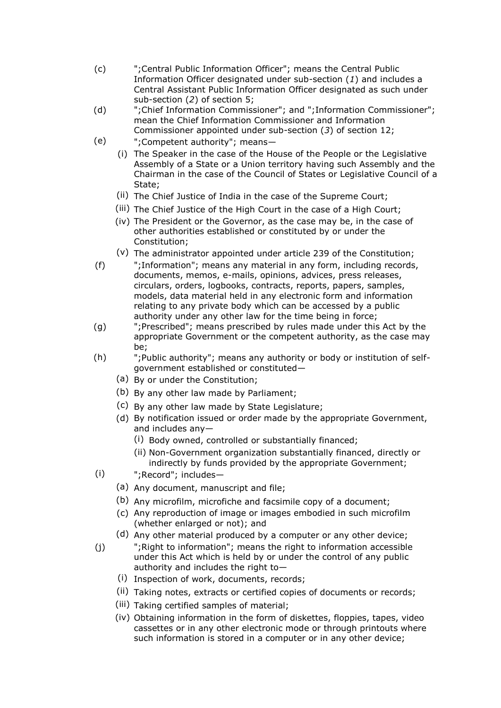- (c) ";Central Public Information Officer"; means the Central Public Information Officer designated under sub-section (*1*) and includes a Central Assistant Public Information Officer designated as such under sub-section (*2*) of section 5;
- (d) ";Chief Information Commissioner"; and ";Information Commissioner"; mean the Chief Information Commissioner and Information Commissioner appointed under sub-section (*3*) of section 12;
- (e) ";Competent authority"; means—
	- (i) The Speaker in the case of the House of the People or the Legislative Assembly of a State or a Union territory having such Assembly and the Chairman in the case of the Council of States or Legislative Council of a State;
	- (ii) The Chief Justice of India in the case of the Supreme Court;
	- (iii) The Chief Justice of the High Court in the case of a High Court;
	- (iv) The President or the Governor, as the case may be, in the case of other authorities established or constituted by or under the Constitution;
	- (v) The administrator appointed under article 239 of the Constitution;
- (f) ";Information"; means any material in any form, including records, documents, memos, e-mails, opinions, advices, press releases, circulars, orders, logbooks, contracts, reports, papers, samples, models, data material held in any electronic form and information relating to any private body which can be accessed by a public authority under any other law for the time being in force;
- (g) ";Prescribed"; means prescribed by rules made under this Act by the appropriate Government or the competent authority, as the case may be;
- (h) ";Public authority"; means any authority or body or institution of selfgovernment established or constituted—
	- (a) By or under the Constitution;
	- (b) By any other law made by Parliament;
	- (c) By any other law made by State Legislature;
	- (d) By notification issued or order made by the appropriate Government, and includes any—
		- (i) Body owned, controlled or substantially financed;
		- (ii) Non-Government organization substantially financed, directly or indirectly by funds provided by the appropriate Government;
- (i) ";Record"; includes—
	- (a) Any document, manuscript and file;
	- (b) Any microfilm, microfiche and facsimile copy of a document;
	- (c) Any reproduction of image or images embodied in such microfilm (whether enlarged or not); and
	- (d) Any other material produced by a computer or any other device;
- (j) ";Right to information"; means the right to information accessible under this Act which is held by or under the control of any public authority and includes the right to—
	- (i) Inspection of work, documents, records;
	- (ii) Taking notes, extracts or certified copies of documents or records;
	- (iii) Taking certified samples of material;
	- (iv) Obtaining information in the form of diskettes, floppies, tapes, video cassettes or in any other electronic mode or through printouts where such information is stored in a computer or in any other device;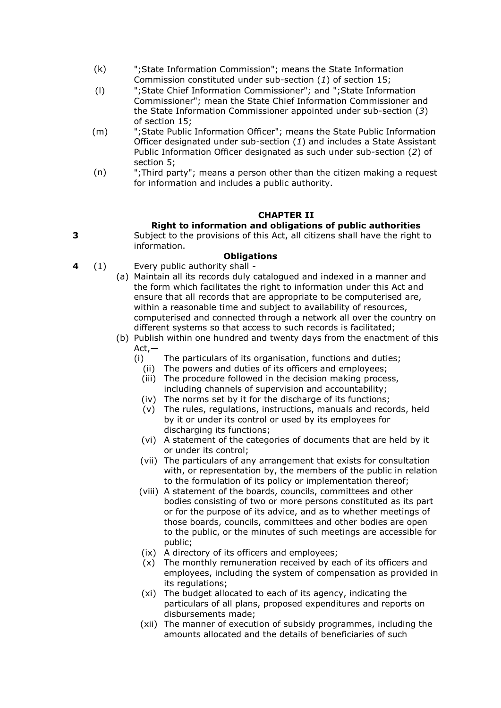- (k) ";State Information Commission"; means the State Information Commission constituted under sub-section (*1*) of section 15;
- (l) ";State Chief Information Commissioner"; and ";State Information Commissioner"; mean the State Chief Information Commissioner and the State Information Commissioner appointed under sub-section (*3*) of section 15;
- (m) ";State Public Information Officer"; means the State Public Information Officer designated under sub-section (*1*) and includes a State Assistant Public Information Officer designated as such under sub-section (*2*) of section 5;
- (n) ";Third party"; means a person other than the citizen making a request for information and includes a public authority.

#### **CHAPTER II**

**Right to information and obligations of public authorities**

**3** Subject to the provisions of this Act, all citizens shall have the right to information.

#### **Obligations**

- **4** (1) Every public authority shall
	- (a) Maintain all its records duly catalogued and indexed in a manner and the form which facilitates the right to information under this Act and ensure that all records that are appropriate to be computerised are, within a reasonable time and subject to availability of resources, computerised and connected through a network all over the country on different systems so that access to such records is facilitated;
	- (b) Publish within one hundred and twenty days from the enactment of this Act,—
		- (i) The particulars of its organisation, functions and duties;
			- (ii) The powers and duties of its officers and employees;
			- (iii) The procedure followed in the decision making process, including channels of supervision and accountability;
			- (iv) The norms set by it for the discharge of its functions;
			- (v) The rules, regulations, instructions, manuals and records, held by it or under its control or used by its employees for discharging its functions;
			- (vi) A statement of the categories of documents that are held by it or under its control;
			- (vii) The particulars of any arrangement that exists for consultation with, or representation by, the members of the public in relation to the formulation of its policy or implementation thereof;
			- (viii) A statement of the boards, councils, committees and other bodies consisting of two or more persons constituted as its part or for the purpose of its advice, and as to whether meetings of those boards, councils, committees and other bodies are open to the public, or the minutes of such meetings are accessible for public;
			- (ix) A directory of its officers and employees;
			- (x) The monthly remuneration received by each of its officers and employees, including the system of compensation as provided in its regulations;
			- (xi) The budget allocated to each of its agency, indicating the particulars of all plans, proposed expenditures and reports on disbursements made;
			- (xii) The manner of execution of subsidy programmes, including the amounts allocated and the details of beneficiaries of such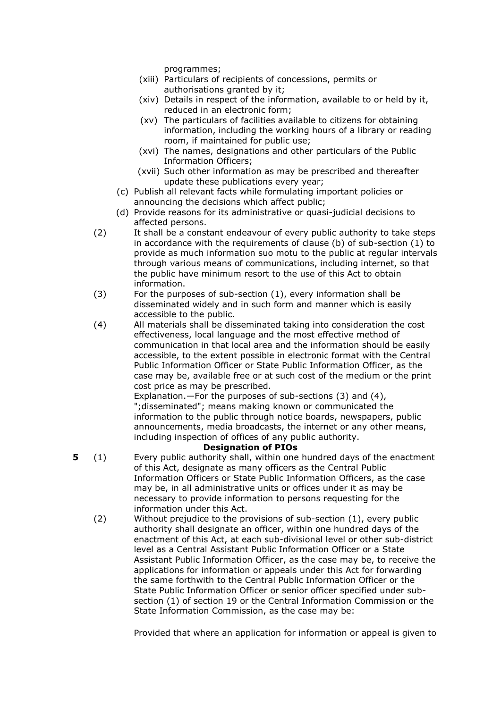programmes;

- (xiii) Particulars of recipients of concessions, permits or authorisations granted by it;
- (xiv) Details in respect of the information, available to or held by it, reduced in an electronic form;
- (xv) The particulars of facilities available to citizens for obtaining information, including the working hours of a library or reading room, if maintained for public use;
- (xvi) The names, designations and other particulars of the Public Information Officers;
- (xvii) Such other information as may be prescribed and thereafter update these publications every year;
- (c) Publish all relevant facts while formulating important policies or announcing the decisions which affect public;
- (d) Provide reasons for its administrative or quasi-judicial decisions to affected persons.
- (2) It shall be a constant endeavour of every public authority to take steps in accordance with the requirements of clause (b) of sub-section (1) to provide as much information suo motu to the public at regular intervals through various means of communications, including internet, so that the public have minimum resort to the use of this Act to obtain information.
- (3) For the purposes of sub-section (1), every information shall be disseminated widely and in such form and manner which is easily accessible to the public.
- (4) All materials shall be disseminated taking into consideration the cost effectiveness, local language and the most effective method of communication in that local area and the information should be easily accessible, to the extent possible in electronic format with the Central Public Information Officer or State Public Information Officer, as the case may be, available free or at such cost of the medium or the print cost price as may be prescribed.

Explanation.—For the purposes of sub-sections (3) and (4), ";disseminated"; means making known or communicated the information to the public through notice boards, newspapers, public announcements, media broadcasts, the internet or any other means, including inspection of offices of any public authority.

## **Designation of PIOs**

- **5** (1) Every public authority shall, within one hundred days of the enactment of this Act, designate as many officers as the Central Public Information Officers or State Public Information Officers, as the case may be, in all administrative units or offices under it as may be necessary to provide information to persons requesting for the information under this Act.
	- (2) Without prejudice to the provisions of sub-section (1), every public authority shall designate an officer, within one hundred days of the enactment of this Act, at each sub-divisional level or other sub-district level as a Central Assistant Public Information Officer or a State Assistant Public Information Officer, as the case may be, to receive the applications for information or appeals under this Act for forwarding the same forthwith to the Central Public Information Officer or the State Public Information Officer or senior officer specified under subsection (1) of section 19 or the Central Information Commission or the State Information Commission, as the case may be:

Provided that where an application for information or appeal is given to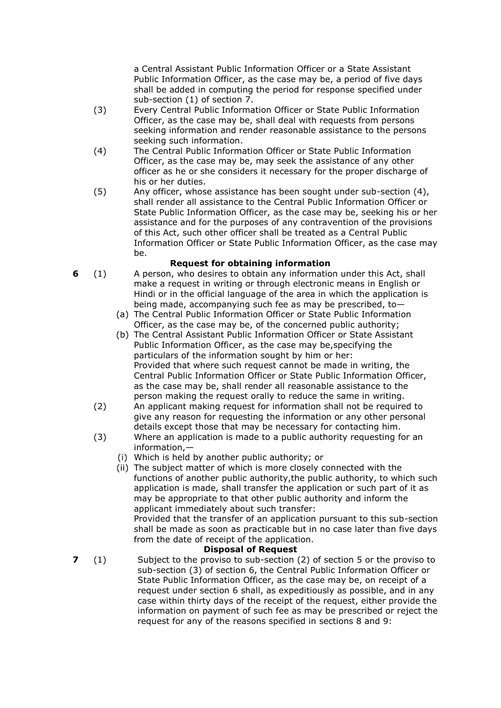a Central Assistant Public Information Officer or a State Assistant Public Information Officer, as the case may be, a period of five days shall be added in computing the period for response specified under sub-section (1) of section 7.

- (3) Every Central Public Information Officer or State Public Information Officer, as the case may be, shall deal with requests from persons seeking information and render reasonable assistance to the persons seeking such information.
- (4) The Central Public Information Officer or State Public Information Officer, as the case may be, may seek the assistance of any other officer as he or she considers it necessary for the proper discharge of his or her duties.
- (5) Any officer, whose assistance has been sought under sub-section (4), shall render all assistance to the Central Public Information Officer or State Public Information Officer, as the case may be, seeking his or her assistance and for the purposes of any contravention of the provisions of this Act, such other officer shall be treated as a Central Public Information Officer or State Public Information Officer, as the case may be.

### **Request for obtaining information**

- **6** (1) A person, who desires to obtain any information under this Act, shall make a request in writing or through electronic means in English or Hindi or in the official language of the area in which the application is being made, accompanying such fee as may be prescribed, to—
	- (a) The Central Public Information Officer or State Public Information Officer, as the case may be, of the concerned public authority;
	- (b) The Central Assistant Public Information Officer or State Assistant Public Information Officer, as the case may be,specifying the particulars of the information sought by him or her: Provided that where such request cannot be made in writing, the Central Public Information Officer or State Public Information Officer, as the case may be, shall render all reasonable assistance to the person making the request orally to reduce the same in writing.
	- (2) An applicant making request for information shall not be required to give any reason for requesting the information or any other personal details except those that may be necessary for contacting him.
	- (3) Where an application is made to a public authority requesting for an information,—
		- (i) Which is held by another public authority; or
		- (ii) The subject matter of which is more closely connected with the functions of another public authority,the public authority, to which such application is made, shall transfer the application or such part of it as may be appropriate to that other public authority and inform the applicant immediately about such transfer:

Provided that the transfer of an application pursuant to this sub-section shall be made as soon as practicable but in no case later than five days from the date of receipt of the application.

#### **Disposal of Request**

**7** (1) Subject to the proviso to sub-section (2) of section 5 or the proviso to sub-section (3) of section 6, the Central Public Information Officer or State Public Information Officer, as the case may be, on receipt of a request under section 6 shall, as expeditiously as possible, and in any case within thirty days of the receipt of the request, either provide the information on payment of such fee as may be prescribed or reject the request for any of the reasons specified in sections 8 and 9: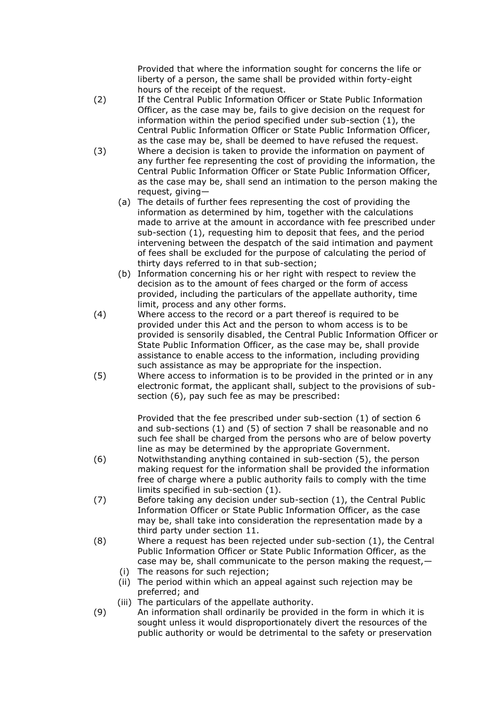Provided that where the information sought for concerns the life or liberty of a person, the same shall be provided within forty-eight hours of the receipt of the request.

- (2) If the Central Public Information Officer or State Public Information Officer, as the case may be, fails to give decision on the request for information within the period specified under sub-section (1), the Central Public Information Officer or State Public Information Officer, as the case may be, shall be deemed to have refused the request.
- (3) Where a decision is taken to provide the information on payment of any further fee representing the cost of providing the information, the Central Public Information Officer or State Public Information Officer, as the case may be, shall send an intimation to the person making the request, giving—
	- (a) The details of further fees representing the cost of providing the information as determined by him, together with the calculations made to arrive at the amount in accordance with fee prescribed under sub-section (1), requesting him to deposit that fees, and the period intervening between the despatch of the said intimation and payment of fees shall be excluded for the purpose of calculating the period of thirty days referred to in that sub-section;
	- (b) Information concerning his or her right with respect to review the decision as to the amount of fees charged or the form of access provided, including the particulars of the appellate authority, time limit, process and any other forms.
- (4) Where access to the record or a part thereof is required to be provided under this Act and the person to whom access is to be provided is sensorily disabled, the Central Public Information Officer or State Public Information Officer, as the case may be, shall provide assistance to enable access to the information, including providing such assistance as may be appropriate for the inspection.
- (5) Where access to information is to be provided in the printed or in any electronic format, the applicant shall, subject to the provisions of subsection (6), pay such fee as may be prescribed:

Provided that the fee prescribed under sub-section (1) of section 6 and sub-sections (1) and (5) of section 7 shall be reasonable and no such fee shall be charged from the persons who are of below poverty line as may be determined by the appropriate Government.

- (6) Notwithstanding anything contained in sub-section (5), the person making request for the information shall be provided the information free of charge where a public authority fails to comply with the time limits specified in sub-section (1).
- (7) Before taking any decision under sub-section (1), the Central Public Information Officer or State Public Information Officer, as the case may be, shall take into consideration the representation made by a third party under section 11.
- (8) Where a request has been rejected under sub-section (1), the Central Public Information Officer or State Public Information Officer, as the case may be, shall communicate to the person making the request,—
	- (i) The reasons for such rejection;
	- (ii) The period within which an appeal against such rejection may be preferred; and
	- (iii) The particulars of the appellate authority.
- (9) An information shall ordinarily be provided in the form in which it is sought unless it would disproportionately divert the resources of the public authority or would be detrimental to the safety or preservation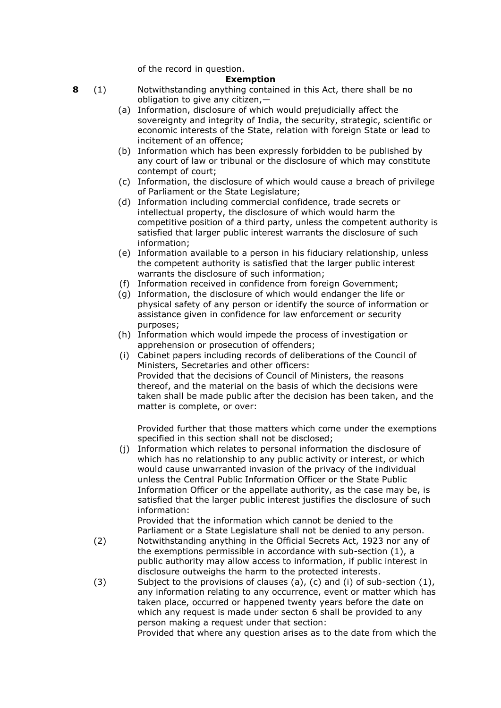of the record in question.

#### **Exemption**

- **8** (1) Notwithstanding anything contained in this Act, there shall be no obligation to give any citizen,—
	- (a) Information, disclosure of which would prejudicially affect the sovereignty and integrity of India, the security, strategic, scientific or economic interests of the State, relation with foreign State or lead to incitement of an offence;
	- (b) Information which has been expressly forbidden to be published by any court of law or tribunal or the disclosure of which may constitute contempt of court;
	- (c) Information, the disclosure of which would cause a breach of privilege of Parliament or the State Legislature;
	- (d) Information including commercial confidence, trade secrets or intellectual property, the disclosure of which would harm the competitive position of a third party, unless the competent authority is satisfied that larger public interest warrants the disclosure of such information;
	- (e) Information available to a person in his fiduciary relationship, unless the competent authority is satisfied that the larger public interest warrants the disclosure of such information;
	- (f) Information received in confidence from foreign Government;
	- (g) Information, the disclosure of which would endanger the life or physical safety of any person or identify the source of information or assistance given in confidence for law enforcement or security purposes;
	- (h) Information which would impede the process of investigation or apprehension or prosecution of offenders;
	- (i) Cabinet papers including records of deliberations of the Council of Ministers, Secretaries and other officers: Provided that the decisions of Council of Ministers, the reasons thereof, and the material on the basis of which the decisions were taken shall be made public after the decision has been taken, and the matter is complete, or over:

Provided further that those matters which come under the exemptions specified in this section shall not be disclosed;

(j) Information which relates to personal information the disclosure of which has no relationship to any public activity or interest, or which would cause unwarranted invasion of the privacy of the individual unless the Central Public Information Officer or the State Public Information Officer or the appellate authority, as the case may be, is satisfied that the larger public interest justifies the disclosure of such information:

Provided that the information which cannot be denied to the Parliament or a State Legislature shall not be denied to any person.

- (2) Notwithstanding anything in the Official Secrets Act, 1923 nor any of the exemptions permissible in accordance with sub-section (1), a public authority may allow access to information, if public interest in disclosure outweighs the harm to the protected interests.
- (3) Subject to the provisions of clauses (a), (c) and (i) of sub-section (1), any information relating to any occurrence, event or matter which has taken place, occurred or happened twenty years before the date on which any request is made under secton 6 shall be provided to any person making a request under that section:

Provided that where any question arises as to the date from which the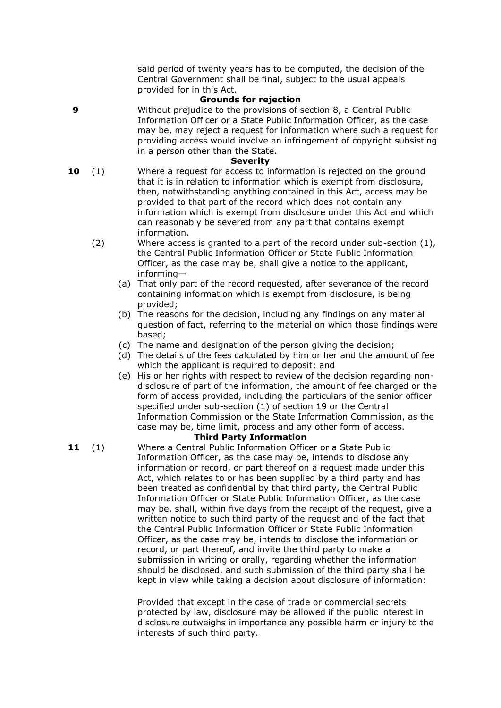said period of twenty years has to be computed, the decision of the Central Government shall be final, subject to the usual appeals provided for in this Act.

### **Grounds for rejection**

**9** Without prejudice to the provisions of section 8, a Central Public Information Officer or a State Public Information Officer, as the case may be, may reject a request for information where such a request for providing access would involve an infringement of copyright subsisting in a person other than the State.

#### **Severity**

- **10** (1) Where a request for access to information is rejected on the ground that it is in relation to information which is exempt from disclosure, then, notwithstanding anything contained in this Act, access may be provided to that part of the record which does not contain any information which is exempt from disclosure under this Act and which can reasonably be severed from any part that contains exempt information.
	- (2) Where access is granted to a part of the record under sub-section (1), the Central Public Information Officer or State Public Information Officer, as the case may be, shall give a notice to the applicant, informing—
		- (a) That only part of the record requested, after severance of the record containing information which is exempt from disclosure, is being provided;
		- (b) The reasons for the decision, including any findings on any material question of fact, referring to the material on which those findings were based;
		- (c) The name and designation of the person giving the decision;
		- (d) The details of the fees calculated by him or her and the amount of fee which the applicant is required to deposit; and
		- (e) His or her rights with respect to review of the decision regarding nondisclosure of part of the information, the amount of fee charged or the form of access provided, including the particulars of the senior officer specified under sub-section (1) of section 19 or the Central Information Commission or the State Information Commission, as the case may be, time limit, process and any other form of access.

## **Third Party Information**

**11** (1) Where a Central Public Information Officer or a State Public Information Officer, as the case may be, intends to disclose any information or record, or part thereof on a request made under this Act, which relates to or has been supplied by a third party and has been treated as confidential by that third party, the Central Public Information Officer or State Public Information Officer, as the case may be, shall, within five days from the receipt of the request, give a written notice to such third party of the request and of the fact that the Central Public Information Officer or State Public Information Officer, as the case may be, intends to disclose the information or record, or part thereof, and invite the third party to make a submission in writing or orally, regarding whether the information should be disclosed, and such submission of the third party shall be kept in view while taking a decision about disclosure of information:

> Provided that except in the case of trade or commercial secrets protected by law, disclosure may be allowed if the public interest in disclosure outweighs in importance any possible harm or injury to the interests of such third party.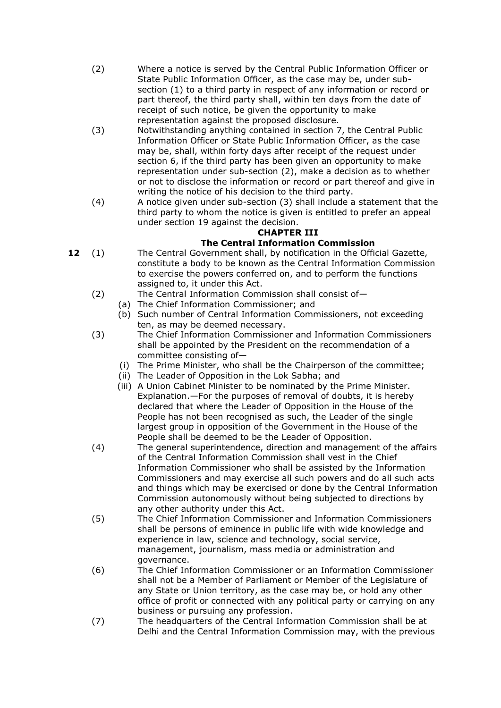- (2) Where a notice is served by the Central Public Information Officer or State Public Information Officer, as the case may be, under subsection (1) to a third party in respect of any information or record or part thereof, the third party shall, within ten days from the date of receipt of such notice, be given the opportunity to make representation against the proposed disclosure.
- (3) Notwithstanding anything contained in section 7, the Central Public Information Officer or State Public Information Officer, as the case may be, shall, within forty days after receipt of the request under section 6, if the third party has been given an opportunity to make representation under sub-section (2), make a decision as to whether or not to disclose the information or record or part thereof and give in writing the notice of his decision to the third party.
- (4) A notice given under sub-section (3) shall include a statement that the third party to whom the notice is given is entitled to prefer an appeal under section 19 against the decision.

#### **CHAPTER III The Central Information Commission**

- **12** (1) The Central Government shall, by notification in the Official Gazette, constitute a body to be known as the Central Information Commission to exercise the powers conferred on, and to perform the functions assigned to, it under this Act.
	- (2) The Central Information Commission shall consist of—
		- (a) The Chief Information Commissioner; and
			- (b) Such number of Central Information Commissioners, not exceeding ten, as may be deemed necessary.
	- (3) The Chief Information Commissioner and Information Commissioners shall be appointed by the President on the recommendation of a committee consisting of—
		- (i) The Prime Minister, who shall be the Chairperson of the committee;
		- (ii) The Leader of Opposition in the Lok Sabha; and
		- (iii) A Union Cabinet Minister to be nominated by the Prime Minister. Explanation.—For the purposes of removal of doubts, it is hereby declared that where the Leader of Opposition in the House of the People has not been recognised as such, the Leader of the single largest group in opposition of the Government in the House of the People shall be deemed to be the Leader of Opposition.
	- (4) The general superintendence, direction and management of the affairs of the Central Information Commission shall vest in the Chief Information Commissioner who shall be assisted by the Information Commissioners and may exercise all such powers and do all such acts and things which may be exercised or done by the Central Information Commission autonomously without being subjected to directions by any other authority under this Act.
	- (5) The Chief Information Commissioner and Information Commissioners shall be persons of eminence in public life with wide knowledge and experience in law, science and technology, social service, management, journalism, mass media or administration and governance.
	- (6) The Chief Information Commissioner or an Information Commissioner shall not be a Member of Parliament or Member of the Legislature of any State or Union territory, as the case may be, or hold any other office of profit or connected with any political party or carrying on any business or pursuing any profession.
	- (7) The headquarters of the Central Information Commission shall be at Delhi and the Central Information Commission may, with the previous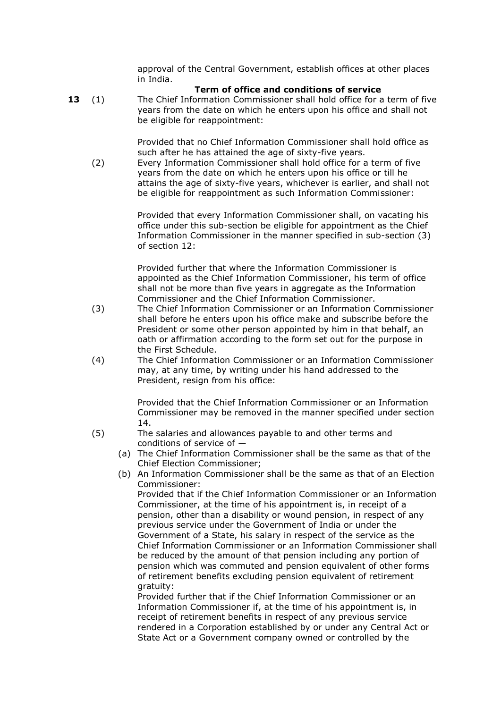approval of the Central Government, establish offices at other places in India.

**Term of office and conditions of service 13** (1) The Chief Information Commissioner shall hold office for a term of five years from the date on which he enters upon his office and shall not be eligible for reappointment:

> Provided that no Chief Information Commissioner shall hold office as such after he has attained the age of sixty-five years.

(2) Every Information Commissioner shall hold office for a term of five years from the date on which he enters upon his office or till he attains the age of sixty-five years, whichever is earlier, and shall not be eligible for reappointment as such Information Commissioner:

> Provided that every Information Commissioner shall, on vacating his office under this sub-section be eligible for appointment as the Chief Information Commissioner in the manner specified in sub-section (3) of section 12:

Provided further that where the Information Commissioner is appointed as the Chief Information Commissioner, his term of office shall not be more than five years in aggregate as the Information Commissioner and the Chief Information Commissioner.

- (3) The Chief Information Commissioner or an Information Commissioner shall before he enters upon his office make and subscribe before the President or some other person appointed by him in that behalf, an oath or affirmation according to the form set out for the purpose in the First Schedule.
- (4) The Chief Information Commissioner or an Information Commissioner may, at any time, by writing under his hand addressed to the President, resign from his office:

Provided that the Chief Information Commissioner or an Information Commissioner may be removed in the manner specified under section 14.

- (5) The salaries and allowances payable to and other terms and conditions of service of —
	- (a) The Chief Information Commissioner shall be the same as that of the Chief Election Commissioner;
	- (b) An Information Commissioner shall be the same as that of an Election Commissioner: Provided that if the Chief Information Commissioner or an Information Commissioner, at the time of his appointment is, in receipt of a pension, other than a disability or wound pension, in respect of any previous service under the Government of India or under the Government of a State, his salary in respect of the service as the Chief Information Commissioner or an Information Commissioner shall be reduced by the amount of that pension including any portion of pension which was commuted and pension equivalent of other forms of retirement benefits excluding pension equivalent of retirement gratuity:

Provided further that if the Chief Information Commissioner or an Information Commissioner if, at the time of his appointment is, in receipt of retirement benefits in respect of any previous service rendered in a Corporation established by or under any Central Act or State Act or a Government company owned or controlled by the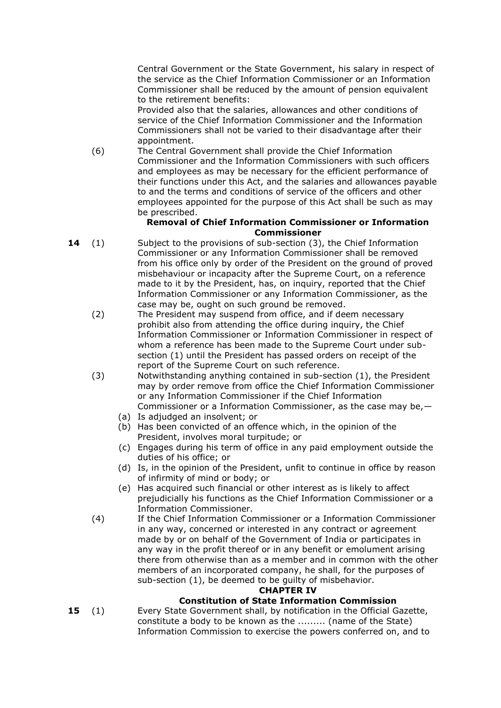Central Government or the State Government, his salary in respect of the service as the Chief Information Commissioner or an Information Commissioner shall be reduced by the amount of pension equivalent to the retirement benefits:

Provided also that the salaries, allowances and other conditions of service of the Chief Information Commissioner and the Information Commissioners shall not be varied to their disadvantage after their appointment.

(6) The Central Government shall provide the Chief Information Commissioner and the Information Commissioners with such officers and employees as may be necessary for the efficient performance of their functions under this Act, and the salaries and allowances payable to and the terms and conditions of service of the officers and other employees appointed for the purpose of this Act shall be such as may be prescribed.

#### **Removal of Chief Information Commissioner or Information Commissioner**

- **14** (1) Subject to the provisions of sub-section (3), the Chief Information Commissioner or any Information Commissioner shall be removed from his office only by order of the President on the ground of proved misbehaviour or incapacity after the Supreme Court, on a reference made to it by the President, has, on inquiry, reported that the Chief Information Commissioner or any Information Commissioner, as the case may be, ought on such ground be removed.
	- (2) The President may suspend from office, and if deem necessary prohibit also from attending the office during inquiry, the Chief Information Commissioner or Information Commissioner in respect of whom a reference has been made to the Supreme Court under subsection (1) until the President has passed orders on receipt of the report of the Supreme Court on such reference.
	- (3) Notwithstanding anything contained in sub-section (1), the President may by order remove from office the Chief Information Commissioner or any Information Commissioner if the Chief Information Commissioner or a Information Commissioner, as the case may be,—
		- (a) Is adjudged an insolvent; or
		- (b) Has been convicted of an offence which, in the opinion of the President, involves moral turpitude; or
		- (c) Engages during his term of office in any paid employment outside the duties of his office; or
		- (d) Is, in the opinion of the President, unfit to continue in office by reason of infirmity of mind or body; or
		- (e) Has acquired such financial or other interest as is likely to affect prejudicially his functions as the Chief Information Commissioner or a Information Commissioner.
	- (4) If the Chief Information Commissioner or a Information Commissioner in any way, concerned or interested in any contract or agreement made by or on behalf of the Government of India or participates in any way in the profit thereof or in any benefit or emolument arising there from otherwise than as a member and in common with the other members of an incorporated company, he shall, for the purposes of sub-section (1), be deemed to be guilty of misbehavior.

## **CHAPTER IV**

# **Constitution of State Information Commission**

**15** (1) Every State Government shall, by notification in the Official Gazette, constitute a body to be known as the ......... (name of the State) Information Commission to exercise the powers conferred on, and to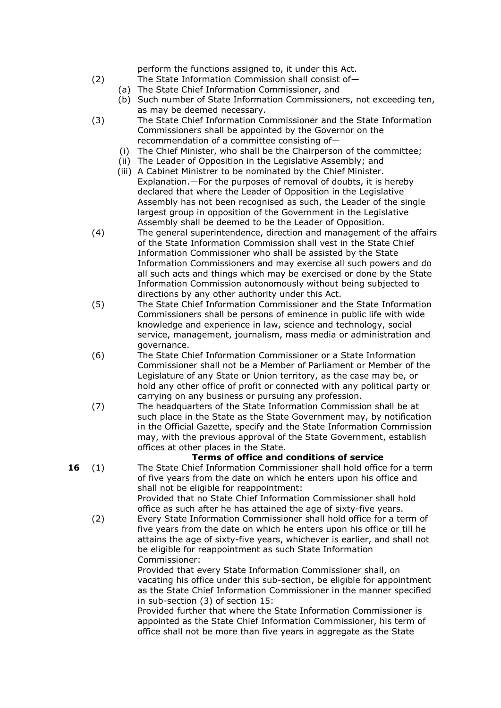perform the functions assigned to, it under this Act.

- (2) The State Information Commission shall consist of—
	- (a) The State Chief Information Commissioner, and
	- (b) Such number of State Information Commissioners, not exceeding ten, as may be deemed necessary.
- (3) The State Chief Information Commissioner and the State Information Commissioners shall be appointed by the Governor on the recommendation of a committee consisting of—
	- (i) The Chief Minister, who shall be the Chairperson of the committee;
	- (ii) The Leader of Opposition in the Legislative Assembly; and
	- (iii) A Cabinet Ministrer to be nominated by the Chief Minister. Explanation.—For the purposes of removal of doubts, it is hereby declared that where the Leader of Opposition in the Legislative Assembly has not been recognised as such, the Leader of the single largest group in opposition of the Government in the Legislative Assembly shall be deemed to be the Leader of Opposition.
- (4) The general superintendence, direction and management of the affairs of the State Information Commission shall vest in the State Chief Information Commissioner who shall be assisted by the State Information Commissioners and may exercise all such powers and do all such acts and things which may be exercised or done by the State Information Commission autonomously without being subjected to directions by any other authority under this Act.
- (5) The State Chief Information Commissioner and the State Information Commissioners shall be persons of eminence in public life with wide knowledge and experience in law, science and technology, social service, management, journalism, mass media or administration and governance.
- (6) The State Chief Information Commissioner or a State Information Commissioner shall not be a Member of Parliament or Member of the Legislature of any State or Union territory, as the case may be, or hold any other office of profit or connected with any political party or carrying on any business or pursuing any profession.
- (7) The headquarters of the State Information Commission shall be at such place in the State as the State Government may, by notification in the Official Gazette, specify and the State Information Commission may, with the previous approval of the State Government, establish offices at other places in the State.

#### **Terms of office and conditions of service**

**16** (1) The State Chief Information Commissioner shall hold office for a term of five years from the date on which he enters upon his office and shall not be eligible for reappointment:

Provided that no State Chief Information Commissioner shall hold office as such after he has attained the age of sixty-five years.

(2) Every State Information Commissioner shall hold office for a term of five years from the date on which he enters upon his office or till he attains the age of sixty-five years, whichever is earlier, and shall not be eligible for reappointment as such State Information Commissioner:

> Provided that every State Information Commissioner shall, on vacating his office under this sub-section, be eligible for appointment as the State Chief Information Commissioner in the manner specified in sub-section (3) of section 15:

Provided further that where the State Information Commissioner is appointed as the State Chief Information Commissioner, his term of office shall not be more than five years in aggregate as the State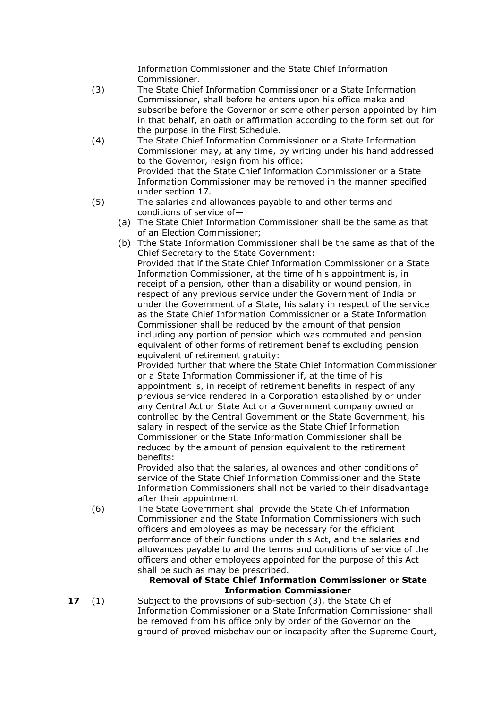Information Commissioner and the State Chief Information Commissioner.

- (3) The State Chief Information Commissioner or a State Information Commissioner, shall before he enters upon his office make and subscribe before the Governor or some other person appointed by him in that behalf, an oath or affirmation according to the form set out for the purpose in the First Schedule.
- (4) The State Chief Information Commissioner or a State Information Commissioner may, at any time, by writing under his hand addressed to the Governor, resign from his office: Provided that the State Chief Information Commissioner or a State Information Commissioner may be removed in the manner specified under section 17.
- (5) The salaries and allowances payable to and other terms and conditions of service of—
	- (a) The State Chief Information Commissioner shall be the same as that of an Election Commissioner;
	- (b) Tthe State Information Commissioner shall be the same as that of the Chief Secretary to the State Government: Provided that if the State Chief Information Commissioner or a State Information Commissioner, at the time of his appointment is, in receipt of a pension, other than a disability or wound pension, in respect of any previous service under the Government of India or under the Government of a State, his salary in respect of the service as the State Chief Information Commissioner or a State Information Commissioner shall be reduced by the amount of that pension including any portion of pension which was commuted and pension equivalent of other forms of retirement benefits excluding pension equivalent of retirement gratuity:

Provided further that where the State Chief Information Commissioner or a State Information Commissioner if, at the time of his appointment is, in receipt of retirement benefits in respect of any previous service rendered in a Corporation established by or under any Central Act or State Act or a Government company owned or controlled by the Central Government or the State Government, his salary in respect of the service as the State Chief Information Commissioner or the State Information Commissioner shall be reduced by the amount of pension equivalent to the retirement benefits:

Provided also that the salaries, allowances and other conditions of service of the State Chief Information Commissioner and the State Information Commissioners shall not be varied to their disadvantage after their appointment.

(6) The State Government shall provide the State Chief Information Commissioner and the State Information Commissioners with such officers and employees as may be necessary for the efficient performance of their functions under this Act, and the salaries and allowances payable to and the terms and conditions of service of the officers and other employees appointed for the purpose of this Act shall be such as may be prescribed.

### **Removal of State Chief Information Commissioner or State Information Commissioner**

**17** (1) Subject to the provisions of sub-section (3), the State Chief Information Commissioner or a State Information Commissioner shall be removed from his office only by order of the Governor on the ground of proved misbehaviour or incapacity after the Supreme Court,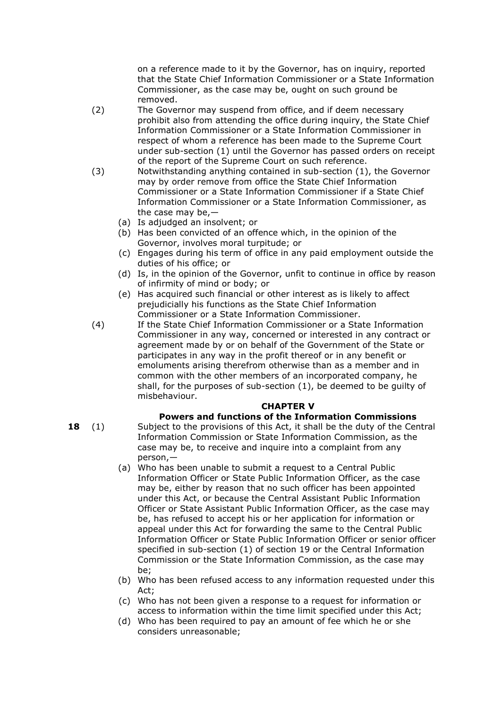on a reference made to it by the Governor, has on inquiry, reported that the State Chief Information Commissioner or a State Information Commissioner, as the case may be, ought on such ground be removed.

- (2) The Governor may suspend from office, and if deem necessary prohibit also from attending the office during inquiry, the State Chief Information Commissioner or a State Information Commissioner in respect of whom a reference has been made to the Supreme Court under sub-section (1) until the Governor has passed orders on receipt of the report of the Supreme Court on such reference.
- (3) Notwithstanding anything contained in sub-section (1), the Governor may by order remove from office the State Chief Information Commissioner or a State Information Commissioner if a State Chief Information Commissioner or a State Information Commissioner, as the case may be,—
	- (a) Is adjudged an insolvent; or
	- (b) Has been convicted of an offence which, in the opinion of the Governor, involves moral turpitude; or
	- (c) Engages during his term of office in any paid employment outside the duties of his office; or
	- (d) Is, in the opinion of the Governor, unfit to continue in office by reason of infirmity of mind or body; or
	- (e) Has acquired such financial or other interest as is likely to affect prejudicially his functions as the State Chief Information Commissioner or a State Information Commissioner.
- (4) If the State Chief Information Commissioner or a State Information Commissioner in any way, concerned or interested in any contract or agreement made by or on behalf of the Government of the State or participates in any way in the profit thereof or in any benefit or emoluments arising therefrom otherwise than as a member and in common with the other members of an incorporated company, he shall, for the purposes of sub-section (1), be deemed to be guilty of misbehaviour.

#### **CHAPTER V**

## **Powers and functions of the Information Commissions**

- **18** (1) Subject to the provisions of this Act, it shall be the duty of the Central Information Commission or State Information Commission, as the case may be, to receive and inquire into a complaint from any person,—
	- (a) Who has been unable to submit a request to a Central Public Information Officer or State Public Information Officer, as the case may be, either by reason that no such officer has been appointed under this Act, or because the Central Assistant Public Information Officer or State Assistant Public Information Officer, as the case may be, has refused to accept his or her application for information or appeal under this Act for forwarding the same to the Central Public Information Officer or State Public Information Officer or senior officer specified in sub-section (1) of section 19 or the Central Information Commission or the State Information Commission, as the case may be;
	- (b) Who has been refused access to any information requested under this Act;
	- (c) Who has not been given a response to a request for information or access to information within the time limit specified under this Act;
	- (d) Who has been required to pay an amount of fee which he or she considers unreasonable;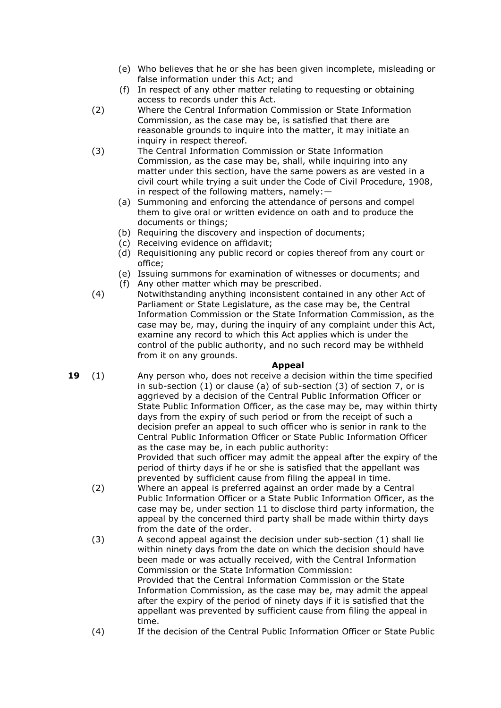- (e) Who believes that he or she has been given incomplete, misleading or false information under this Act; and
- (f) In respect of any other matter relating to requesting or obtaining access to records under this Act.
- (2) Where the Central Information Commission or State Information Commission, as the case may be, is satisfied that there are reasonable grounds to inquire into the matter, it may initiate an inquiry in respect thereof.
- (3) The Central Information Commission or State Information Commission, as the case may be, shall, while inquiring into any matter under this section, have the same powers as are vested in a civil court while trying a suit under the Code of Civil Procedure, 1908, in respect of the following matters, namely:—
	- (a) Summoning and enforcing the attendance of persons and compel them to give oral or written evidence on oath and to produce the documents or things;
	- (b) Requiring the discovery and inspection of documents;
	- (c) Receiving evidence on affidavit;
	- (d) Requisitioning any public record or copies thereof from any court or office;
	- (e) Issuing summons for examination of witnesses or documents; and (f) Any other matter which may be prescribed.
- (4) Notwithstanding anything inconsistent contained in any other Act of Parliament or State Legislature, as the case may be, the Central Information Commission or the State Information Commission, as the case may be, may, during the inquiry of any complaint under this Act, examine any record to which this Act applies which is under the control of the public authority, and no such record may be withheld from it on any grounds.

#### **Appeal**

**19** (1) Any person who, does not receive a decision within the time specified in sub-section (1) or clause (a) of sub-section (3) of section 7, or is aggrieved by a decision of the Central Public Information Officer or State Public Information Officer, as the case may be, may within thirty days from the expiry of such period or from the receipt of such a decision prefer an appeal to such officer who is senior in rank to the Central Public Information Officer or State Public Information Officer as the case may be, in each public authority: Provided that such officer may admit the appeal after the expiry of the

period of thirty days if he or she is satisfied that the appellant was prevented by sufficient cause from filing the appeal in time.

- (2) Where an appeal is preferred against an order made by a Central Public Information Officer or a State Public Information Officer, as the case may be, under section 11 to disclose third party information, the appeal by the concerned third party shall be made within thirty days from the date of the order.
- (3) A second appeal against the decision under sub-section (1) shall lie within ninety days from the date on which the decision should have been made or was actually received, with the Central Information Commission or the State Information Commission: Provided that the Central Information Commission or the State Information Commission, as the case may be, may admit the appeal after the expiry of the period of ninety days if it is satisfied that the appellant was prevented by sufficient cause from filing the appeal in time.
- (4) If the decision of the Central Public Information Officer or State Public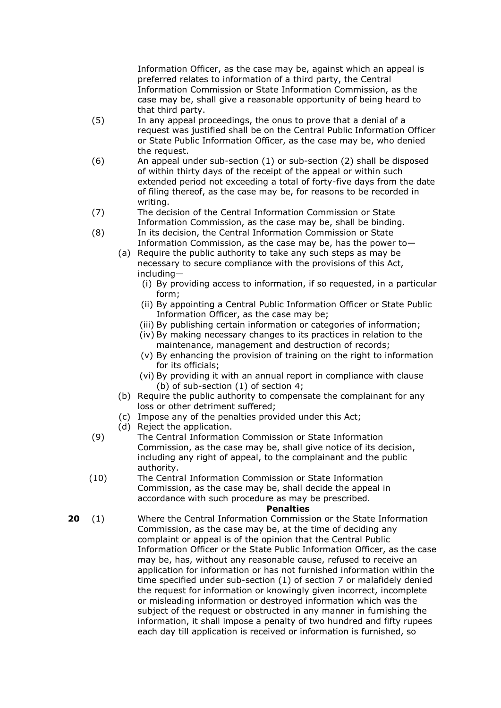Information Officer, as the case may be, against which an appeal is preferred relates to information of a third party, the Central Information Commission or State Information Commission, as the case may be, shall give a reasonable opportunity of being heard to that third party.

- (5) In any appeal proceedings, the onus to prove that a denial of a request was justified shall be on the Central Public Information Officer or State Public Information Officer, as the case may be, who denied the request.
- (6) An appeal under sub-section (1) or sub-section (2) shall be disposed of within thirty days of the receipt of the appeal or within such extended period not exceeding a total of forty-five days from the date of filing thereof, as the case may be, for reasons to be recorded in writing.
- (7) The decision of the Central Information Commission or State Information Commission, as the case may be, shall be binding.
- (8) In its decision, the Central Information Commission or State Information Commission, as the case may be, has the power to—
	- (a) Require the public authority to take any such steps as may be necessary to secure compliance with the provisions of this Act, including—
		- (i) By providing access to information, if so requested, in a particular form;
		- (ii) By appointing a Central Public Information Officer or State Public Information Officer, as the case may be;
		- (iii) By publishing certain information or categories of information;
		- (iv) By making necessary changes to its practices in relation to the maintenance, management and destruction of records;
		- (v) By enhancing the provision of training on the right to information for its officials;
		- (vi) By providing it with an annual report in compliance with clause (b) of sub-section (1) of section 4;
	- (b) Require the public authority to compensate the complainant for any loss or other detriment suffered;
	- (c) Impose any of the penalties provided under this Act;
	- (d) Reject the application.
- (9) The Central Information Commission or State Information Commission, as the case may be, shall give notice of its decision, including any right of appeal, to the complainant and the public authority.
- (10) The Central Information Commission or State Information Commission, as the case may be, shall decide the appeal in accordance with such procedure as may be prescribed.

#### **Penalties**

**20** (1) Where the Central Information Commission or the State Information Commission, as the case may be, at the time of deciding any complaint or appeal is of the opinion that the Central Public Information Officer or the State Public Information Officer, as the case may be, has, without any reasonable cause, refused to receive an application for information or has not furnished information within the time specified under sub-section (1) of section 7 or malafidely denied the request for information or knowingly given incorrect, incomplete or misleading information or destroyed information which was the subject of the request or obstructed in any manner in furnishing the information, it shall impose a penalty of two hundred and fifty rupees each day till application is received or information is furnished, so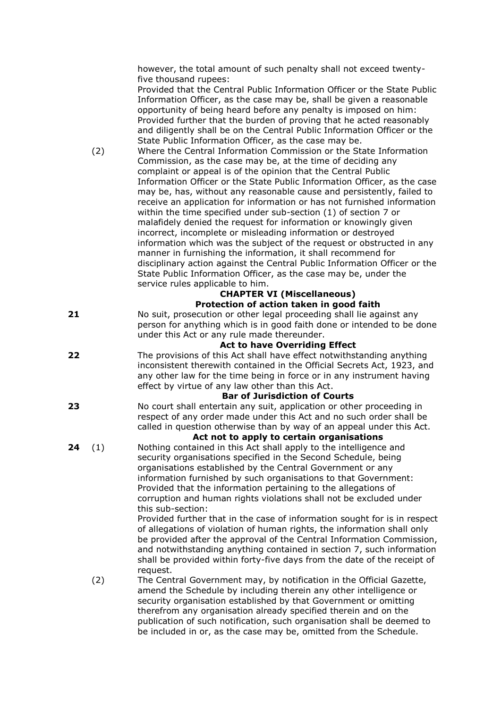however, the total amount of such penalty shall not exceed twentyfive thousand rupees:

Provided that the Central Public Information Officer or the State Public Information Officer, as the case may be, shall be given a reasonable opportunity of being heard before any penalty is imposed on him: Provided further that the burden of proving that he acted reasonably and diligently shall be on the Central Public Information Officer or the State Public Information Officer, as the case may be.

(2) Where the Central Information Commission or the State Information Commission, as the case may be, at the time of deciding any complaint or appeal is of the opinion that the Central Public Information Officer or the State Public Information Officer, as the case may be, has, without any reasonable cause and persistently, failed to receive an application for information or has not furnished information within the time specified under sub-section (1) of section 7 or malafidely denied the request for information or knowingly given incorrect, incomplete or misleading information or destroyed information which was the subject of the request or obstructed in any manner in furnishing the information, it shall recommend for disciplinary action against the Central Public Information Officer or the State Public Information Officer, as the case may be, under the service rules applicable to him.

#### **CHAPTER VI (Miscellaneous) Protection of action taken in good faith**

- **21** No suit, prosecution or other legal proceeding shall lie against any person for anything which is in good faith done or intended to be done under this Act or any rule made thereunder.
	- **Act to have Overriding Effect**
- **22** The provisions of this Act shall have effect notwithstanding anything inconsistent therewith contained in the Official Secrets Act, 1923, and any other law for the time being in force or in any instrument having effect by virtue of any law other than this Act.

#### **Bar of Jurisdiction of Courts**

**23** No court shall entertain any suit, application or other proceeding in respect of any order made under this Act and no such order shall be called in question otherwise than by way of an appeal under this Act.

## **Act not to apply to certain organisations**

**24** (1) Nothing contained in this Act shall apply to the intelligence and security organisations specified in the Second Schedule, being organisations established by the Central Government or any information furnished by such organisations to that Government: Provided that the information pertaining to the allegations of corruption and human rights violations shall not be excluded under this sub-section:

> Provided further that in the case of information sought for is in respect of allegations of violation of human rights, the information shall only be provided after the approval of the Central Information Commission, and notwithstanding anything contained in section 7, such information shall be provided within forty-five days from the date of the receipt of request.

(2) The Central Government may, by notification in the Official Gazette, amend the Schedule by including therein any other intelligence or security organisation established by that Government or omitting therefrom any organisation already specified therein and on the publication of such notification, such organisation shall be deemed to be included in or, as the case may be, omitted from the Schedule.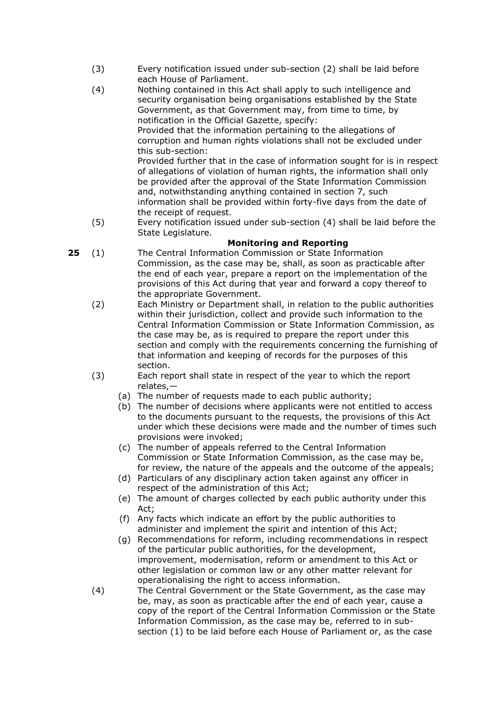- (3) Every notification issued under sub-section (2) shall be laid before each House of Parliament.
- (4) Nothing contained in this Act shall apply to such intelligence and security organisation being organisations established by the State Government, as that Government may, from time to time, by notification in the Official Gazette, specify: Provided that the information pertaining to the allegations of corruption and human rights violations shall not be excluded under this sub-section: Provided further that in the case of information sought for is in respect of allegations of violation of human rights, the information shall only be provided after the approval of the State Information Commission and, notwithstanding anything contained in section 7, such information shall be provided within forty-five days from the date of
- the receipt of request. (5) Every notification issued under sub-section (4) shall be laid before the State Legislature.

## **Monitoring and Reporting**

- **25** (1) The Central Information Commission or State Information Commission, as the case may be, shall, as soon as practicable after the end of each year, prepare a report on the implementation of the provisions of this Act during that year and forward a copy thereof to the appropriate Government.
	- (2) Each Ministry or Department shall, in relation to the public authorities within their jurisdiction, collect and provide such information to the Central Information Commission or State Information Commission, as the case may be, as is required to prepare the report under this section and comply with the requirements concerning the furnishing of that information and keeping of records for the purposes of this section.
	- (3) Each report shall state in respect of the year to which the report relates,—
		- (a) The number of requests made to each public authority;
		- (b) The number of decisions where applicants were not entitled to access to the documents pursuant to the requests, the provisions of this Act under which these decisions were made and the number of times such provisions were invoked;
		- (c) The number of appeals referred to the Central Information Commission or State Information Commission, as the case may be, for review, the nature of the appeals and the outcome of the appeals;
		- (d) Particulars of any disciplinary action taken against any officer in respect of the administration of this Act;
		- (e) The amount of charges collected by each public authority under this Act;
		- (f) Any facts which indicate an effort by the public authorities to administer and implement the spirit and intention of this Act;
		- (g) Recommendations for reform, including recommendations in respect of the particular public authorities, for the development, improvement, modernisation, reform or amendment to this Act or other legislation or common law or any other matter relevant for operationalising the right to access information.
	- (4) The Central Government or the State Government, as the case may be, may, as soon as practicable after the end of each year, cause a copy of the report of the Central Information Commission or the State Information Commission, as the case may be, referred to in subsection (1) to be laid before each House of Parliament or, as the case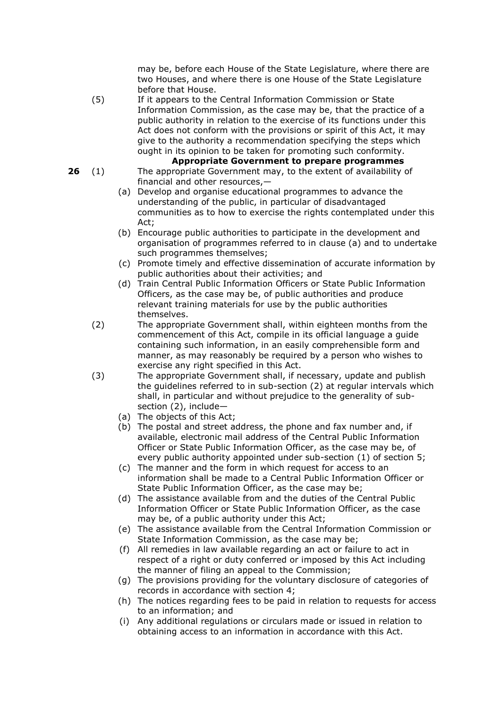may be, before each House of the State Legislature, where there are two Houses, and where there is one House of the State Legislature before that House.

(5) If it appears to the Central Information Commission or State Information Commission, as the case may be, that the practice of a public authority in relation to the exercise of its functions under this Act does not conform with the provisions or spirit of this Act, it may give to the authority a recommendation specifying the steps which ought in its opinion to be taken for promoting such conformity.

#### **Appropriate Government to prepare programmes**

- **26** (1) The appropriate Government may, to the extent of availability of financial and other resources,—
	- (a) Develop and organise educational programmes to advance the understanding of the public, in particular of disadvantaged communities as to how to exercise the rights contemplated under this Act;
	- (b) Encourage public authorities to participate in the development and organisation of programmes referred to in clause (a) and to undertake such programmes themselves;
	- (c) Promote timely and effective dissemination of accurate information by public authorities about their activities; and
	- (d) Train Central Public Information Officers or State Public Information Officers, as the case may be, of public authorities and produce relevant training materials for use by the public authorities themselves.
	- (2) The appropriate Government shall, within eighteen months from the commencement of this Act, compile in its official language a guide containing such information, in an easily comprehensible form and manner, as may reasonably be required by a person who wishes to exercise any right specified in this Act.
	- (3) The appropriate Government shall, if necessary, update and publish the guidelines referred to in sub-section (2) at regular intervals which shall, in particular and without prejudice to the generality of subsection (2), include—
		- (a) The objects of this Act;
		- (b) The postal and street address, the phone and fax number and, if available, electronic mail address of the Central Public Information Officer or State Public Information Officer, as the case may be, of every public authority appointed under sub-section (1) of section 5;
		- (c) The manner and the form in which request for access to an information shall be made to a Central Public Information Officer or State Public Information Officer, as the case may be;
		- (d) The assistance available from and the duties of the Central Public Information Officer or State Public Information Officer, as the case may be, of a public authority under this Act;
		- (e) The assistance available from the Central Information Commission or State Information Commission, as the case may be;
		- (f) All remedies in law available regarding an act or failure to act in respect of a right or duty conferred or imposed by this Act including the manner of filing an appeal to the Commission;
		- (g) The provisions providing for the voluntary disclosure of categories of records in accordance with section 4;
		- (h) The notices regarding fees to be paid in relation to requests for access to an information; and
		- (i) Any additional regulations or circulars made or issued in relation to obtaining access to an information in accordance with this Act.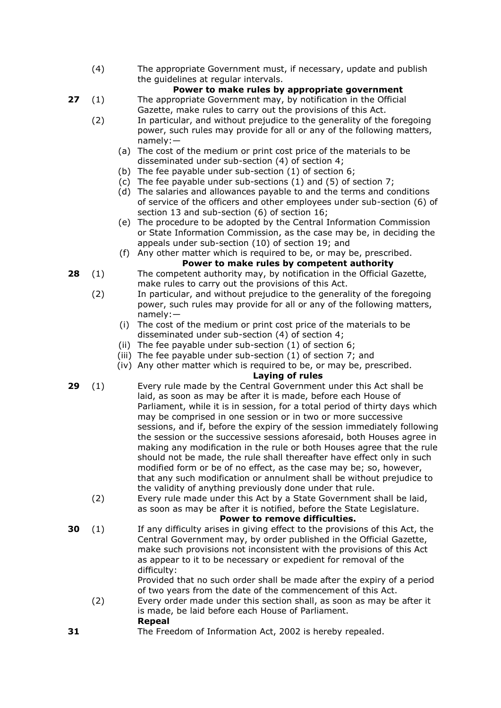(4) The appropriate Government must, if necessary, update and publish the guidelines at regular intervals.

## **Power to make rules by appropriate government**

- **27** (1) The appropriate Government may, by notification in the Official Gazette, make rules to carry out the provisions of this Act.
	- (2) In particular, and without prejudice to the generality of the foregoing power, such rules may provide for all or any of the following matters, namely:—
		- (a) The cost of the medium or print cost price of the materials to be disseminated under sub-section (4) of section 4;
		- (b) The fee payable under sub-section (1) of section 6;
		- (c) The fee payable under sub-sections (1) and (5) of section 7;
		- (d) The salaries and allowances payable to and the terms and conditions of service of the officers and other employees under sub-section (6) of section 13 and sub-section (6) of section 16;
		- (e) The procedure to be adopted by the Central Information Commission or State Information Commission, as the case may be, in deciding the appeals under sub-section (10) of section 19; and
		- (f) Any other matter which is required to be, or may be, prescribed.

## **Power to make rules by competent authority**

- **28** (1) The competent authority may, by notification in the Official Gazette, make rules to carry out the provisions of this Act.
	- (2) In particular, and without prejudice to the generality of the foregoing power, such rules may provide for all or any of the following matters, namely:—
		- (i) The cost of the medium or print cost price of the materials to be disseminated under sub-section (4) of section 4;
		- (ii) The fee payable under sub-section (1) of section 6;
		- (iii) The fee payable under sub-section (1) of section 7; and
		- (iv) Any other matter which is required to be, or may be, prescribed.

## **Laying of rules**

- **29** (1) Every rule made by the Central Government under this Act shall be laid, as soon as may be after it is made, before each House of Parliament, while it is in session, for a total period of thirty days which may be comprised in one session or in two or more successive sessions, and if, before the expiry of the session immediately following the session or the successive sessions aforesaid, both Houses agree in making any modification in the rule or both Houses agree that the rule should not be made, the rule shall thereafter have effect only in such modified form or be of no effect, as the case may be; so, however, that any such modification or annulment shall be without prejudice to the validity of anything previously done under that rule.
	- (2) Every rule made under this Act by a State Government shall be laid, as soon as may be after it is notified, before the State Legislature. **Power to remove difficulties.**
- **30** (1) If any difficulty arises in giving effect to the provisions of this Act, the Central Government may, by order published in the Official Gazette, make such provisions not inconsistent with the provisions of this Act as appear to it to be necessary or expedient for removal of the difficulty:

Provided that no such order shall be made after the expiry of a period of two years from the date of the commencement of this Act.

(2) Every order made under this section shall, as soon as may be after it is made, be laid before each House of Parliament.

## **Repeal**

**31** The Freedom of Information Act, 2002 is hereby repealed.